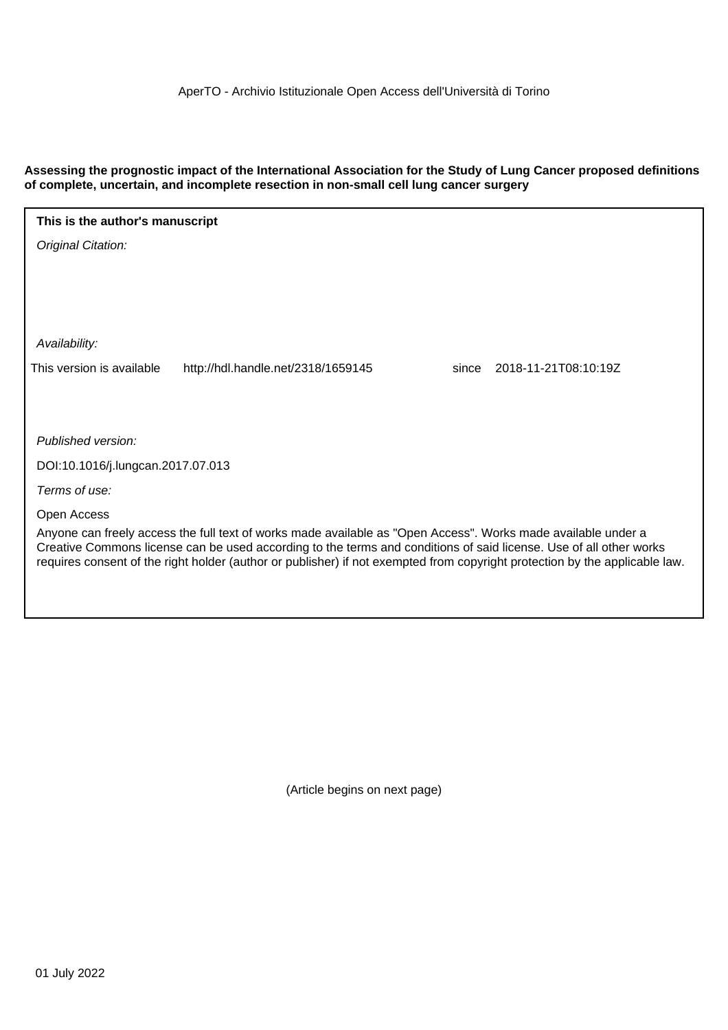**Assessing the prognostic impact of the International Association for the Study of Lung Cancer proposed definitions of complete, uncertain, and incomplete resection in non-small cell lung cancer surgery**

| This is the author's manuscript                                                                                                                                                                                                     |                                    |                               |  |  |  |  |
|-------------------------------------------------------------------------------------------------------------------------------------------------------------------------------------------------------------------------------------|------------------------------------|-------------------------------|--|--|--|--|
| Original Citation:                                                                                                                                                                                                                  |                                    |                               |  |  |  |  |
|                                                                                                                                                                                                                                     |                                    |                               |  |  |  |  |
|                                                                                                                                                                                                                                     |                                    |                               |  |  |  |  |
|                                                                                                                                                                                                                                     |                                    |                               |  |  |  |  |
| Availability:                                                                                                                                                                                                                       |                                    |                               |  |  |  |  |
| This version is available                                                                                                                                                                                                           | http://hdl.handle.net/2318/1659145 | 2018-11-21T08:10:19Z<br>since |  |  |  |  |
|                                                                                                                                                                                                                                     |                                    |                               |  |  |  |  |
|                                                                                                                                                                                                                                     |                                    |                               |  |  |  |  |
| Published version:                                                                                                                                                                                                                  |                                    |                               |  |  |  |  |
| DOI:10.1016/j.lungcan.2017.07.013                                                                                                                                                                                                   |                                    |                               |  |  |  |  |
| Terms of use:                                                                                                                                                                                                                       |                                    |                               |  |  |  |  |
| Open Access                                                                                                                                                                                                                         |                                    |                               |  |  |  |  |
| Anyone can freely access the full text of works made available as "Open Access". Works made available under a<br>Creative Commons license can be used according to the terms and conditions of said license. Use of all other works |                                    |                               |  |  |  |  |
| requires consent of the right holder (author or publisher) if not exempted from copyright protection by the applicable law.                                                                                                         |                                    |                               |  |  |  |  |
|                                                                                                                                                                                                                                     |                                    |                               |  |  |  |  |
|                                                                                                                                                                                                                                     |                                    |                               |  |  |  |  |

(Article begins on next page)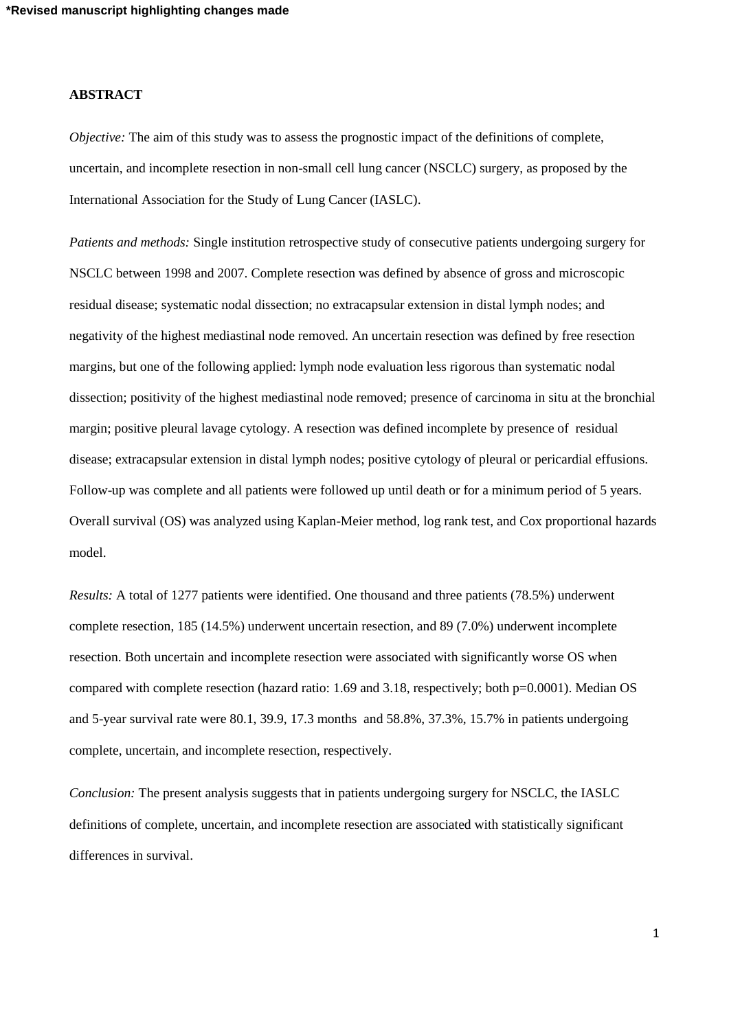# **ABSTRACT**

*Objective:* The aim of this study was to assess the prognostic impact of the definitions of complete, uncertain, and incomplete resection in non-small cell lung cancer (NSCLC) surgery, as proposed by the International Association for the Study of Lung Cancer (IASLC).

*Patients and methods:* Single institution retrospective study of consecutive patients undergoing surgery for NSCLC between 1998 and 2007. Complete resection was defined by absence of gross and microscopic residual disease; systematic nodal dissection; no extracapsular extension in distal lymph nodes; and negativity of the highest mediastinal node removed. An uncertain resection was defined by free resection margins, but one of the following applied: lymph node evaluation less rigorous than systematic nodal dissection; positivity of the highest mediastinal node removed; presence of carcinoma in situ at the bronchial margin; positive pleural lavage cytology. A resection was defined incomplete by presence of residual disease; extracapsular extension in distal lymph nodes; positive cytology of pleural or pericardial effusions. Follow-up was complete and all patients were followed up until death or for a minimum period of 5 years. Overall survival (OS) was analyzed using Kaplan-Meier method, log rank test, and Cox proportional hazards model.

*Results:* A total of 1277 patients were identified. One thousand and three patients (78.5%) underwent complete resection, 185 (14.5%) underwent uncertain resection, and 89 (7.0%) underwent incomplete resection. Both uncertain and incomplete resection were associated with significantly worse OS when compared with complete resection (hazard ratio: 1.69 and 3.18, respectively; both p=0.0001). Median OS and 5-year survival rate were 80.1, 39.9, 17.3 months and 58.8%, 37.3%, 15.7% in patients undergoing complete, uncertain, and incomplete resection, respectively.

*Conclusion:* The present analysis suggests that in patients undergoing surgery for NSCLC, the IASLC definitions of complete, uncertain, and incomplete resection are associated with statistically significant differences in survival.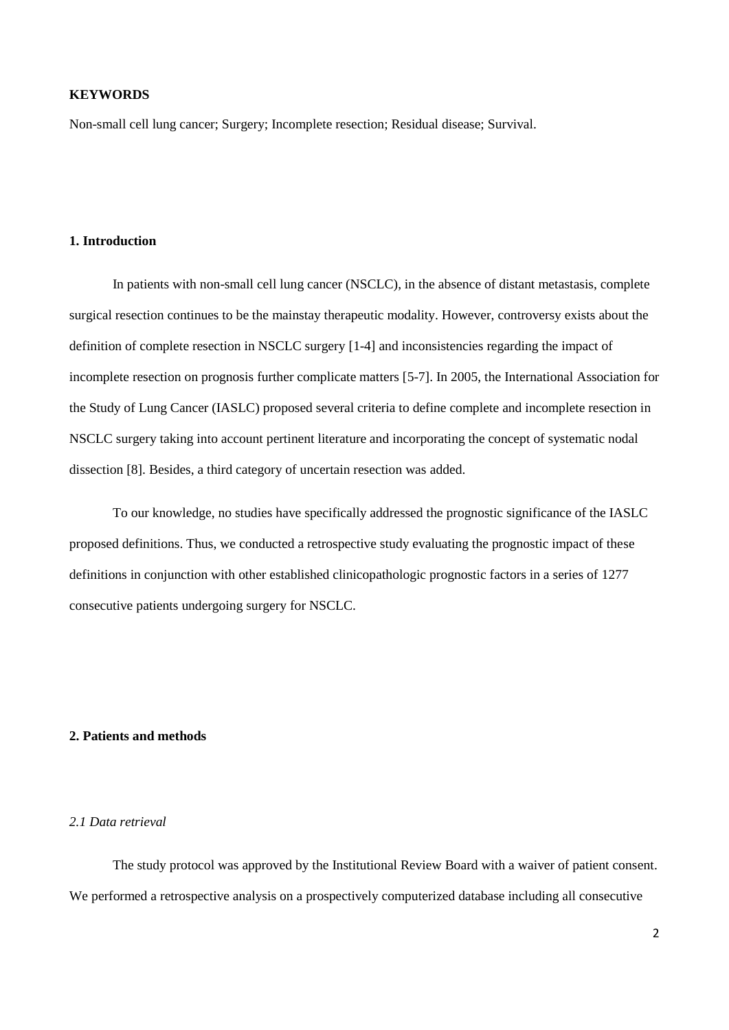# **KEYWORDS**

Non-small cell lung cancer; Surgery; Incomplete resection; Residual disease; Survival.

## **1. Introduction**

In patients with non-small cell lung cancer (NSCLC), in the absence of distant metastasis, complete surgical resection continues to be the mainstay therapeutic modality. However, controversy exists about the definition of complete resection in NSCLC surgery [1-4] and inconsistencies regarding the impact of incomplete resection on prognosis further complicate matters [5-7]. In 2005, the International Association for the Study of Lung Cancer (IASLC) proposed several criteria to define complete and incomplete resection in NSCLC surgery taking into account pertinent literature and incorporating the concept of systematic nodal dissection [8]. Besides, a third category of uncertain resection was added.

To our knowledge, no studies have specifically addressed the prognostic significance of the IASLC proposed definitions. Thus, we conducted a retrospective study evaluating the prognostic impact of these definitions in conjunction with other established clinicopathologic prognostic factors in a series of 1277 consecutive patients undergoing surgery for NSCLC.

## **2. Patients and methods**

## *2.1 Data retrieval*

The study protocol was approved by the Institutional Review Board with a waiver of patient consent. We performed a retrospective analysis on a prospectively computerized database including all consecutive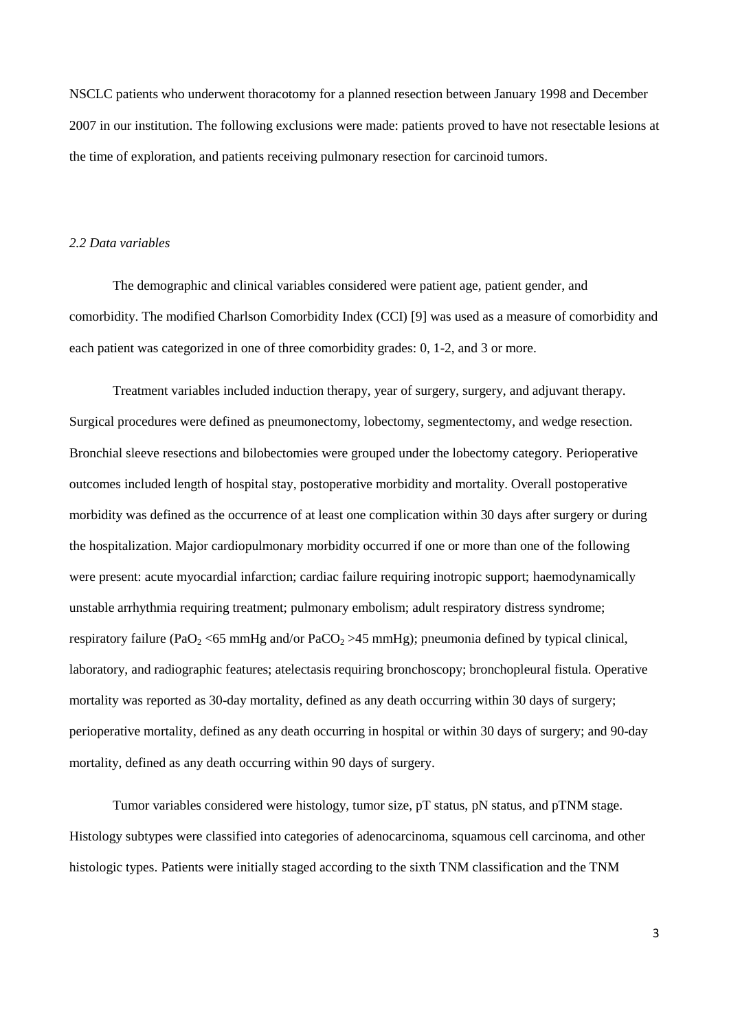NSCLC patients who underwent thoracotomy for a planned resection between January 1998 and December 2007 in our institution. The following exclusions were made: patients proved to have not resectable lesions at the time of exploration, and patients receiving pulmonary resection for carcinoid tumors.

## *2.2 Data variables*

The demographic and clinical variables considered were patient age, patient gender, and comorbidity. The modified Charlson Comorbidity Index (CCI) [9] was used as a measure of comorbidity and each patient was categorized in one of three comorbidity grades: 0, 1-2, and 3 or more.

Treatment variables included induction therapy, year of surgery, surgery, and adjuvant therapy. Surgical procedures were defined as pneumonectomy, lobectomy, segmentectomy, and wedge resection. Bronchial sleeve resections and bilobectomies were grouped under the lobectomy category. Perioperative outcomes included length of hospital stay, postoperative morbidity and mortality. Overall postoperative morbidity was defined as the occurrence of at least one complication within 30 days after surgery or during the hospitalization. Major cardiopulmonary morbidity occurred if one or more than one of the following were present: acute myocardial infarction; cardiac failure requiring inotropic support; haemodynamically unstable arrhythmia requiring treatment; pulmonary embolism; adult respiratory distress syndrome; respiratory failure (PaO<sub>2</sub> <65 mmHg and/or PaCO<sub>2</sub> >45 mmHg); pneumonia defined by typical clinical, laboratory, and radiographic features; atelectasis requiring bronchoscopy; bronchopleural fistula. Operative mortality was reported as 30-day mortality, defined as any death occurring within 30 days of surgery; perioperative mortality, defined as any death occurring in hospital or within 30 days of surgery; and 90-day mortality, defined as any death occurring within 90 days of surgery.

Tumor variables considered were histology, tumor size, pT status, pN status, and pTNM stage. Histology subtypes were classified into categories of adenocarcinoma, squamous cell carcinoma, and other histologic types. Patients were initially staged according to the sixth TNM classification and the TNM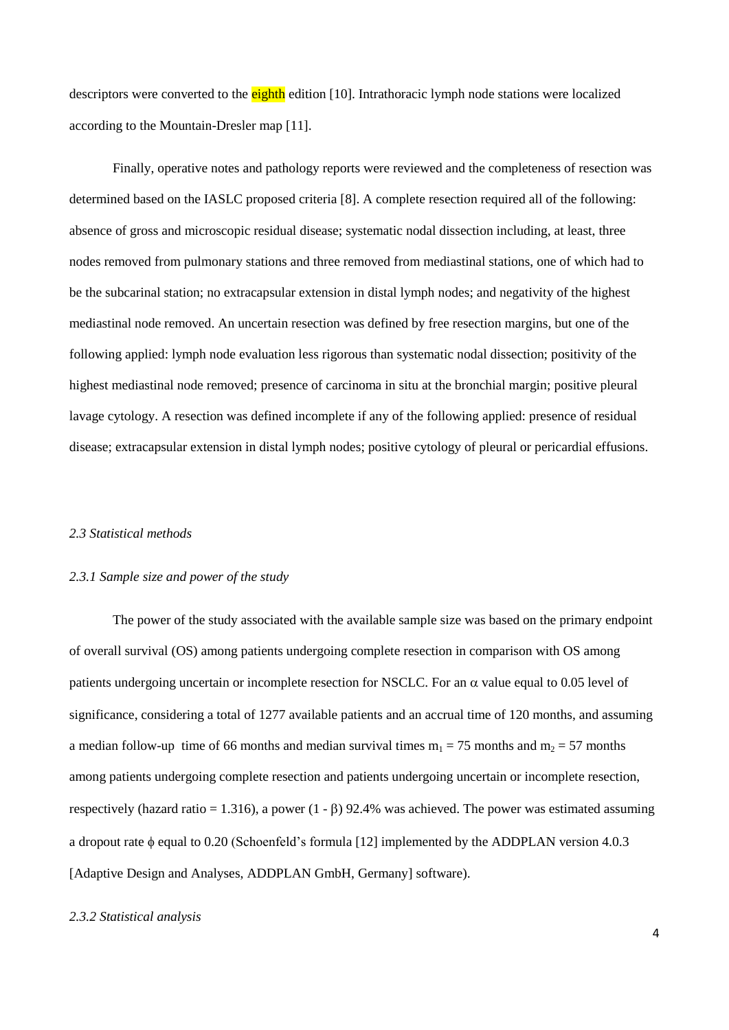descriptors were converted to the eighth edition [10]. Intrathoracic lymph node stations were localized according to the Mountain-Dresler map [11].

Finally, operative notes and pathology reports were reviewed and the completeness of resection was determined based on the IASLC proposed criteria [8]. A complete resection required all of the following: absence of gross and microscopic residual disease; systematic nodal dissection including, at least, three nodes removed from pulmonary stations and three removed from mediastinal stations, one of which had to be the subcarinal station; no extracapsular extension in distal lymph nodes; and negativity of the highest mediastinal node removed. An uncertain resection was defined by free resection margins, but one of the following applied: lymph node evaluation less rigorous than systematic nodal dissection; positivity of the highest mediastinal node removed; presence of carcinoma in situ at the bronchial margin; positive pleural lavage cytology. A resection was defined incomplete if any of the following applied: presence of residual disease; extracapsular extension in distal lymph nodes; positive cytology of pleural or pericardial effusions.

## *2.3 Statistical methods*

#### *2.3.1 Sample size and power of the study*

The power of the study associated with the available sample size was based on the primary endpoint of overall survival (OS) among patients undergoing complete resection in comparison with OS among patients undergoing uncertain or incomplete resection for NSCLC. For an  $\alpha$  value equal to 0.05 level of significance, considering a total of 1277 available patients and an accrual time of 120 months, and assuming a median follow-up time of 66 months and median survival times  $m_1 = 75$  months and  $m_2 = 57$  months among patients undergoing complete resection and patients undergoing uncertain or incomplete resection, respectively (hazard ratio = 1.316), a power (1 -  $\beta$ ) 92.4% was achieved. The power was estimated assuming a dropout rate  $\phi$  equal to 0.20 (Schoenfeld's formula [12] implemented by the ADDPLAN version 4.0.3 [Adaptive Design and Analyses, ADDPLAN GmbH, Germany] software).

## *2.3.2 Statistical analysis*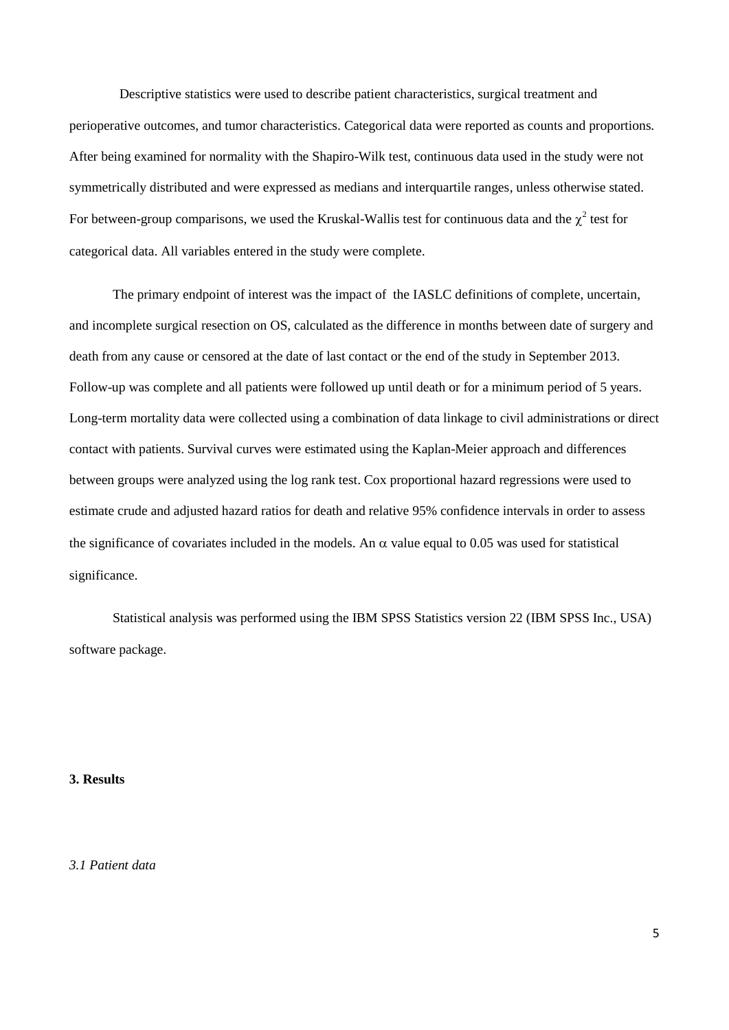Descriptive statistics were used to describe patient characteristics, surgical treatment and perioperative outcomes, and tumor characteristics. Categorical data were reported as counts and proportions. After being examined for normality with the Shapiro-Wilk test, continuous data used in the study were not symmetrically distributed and were expressed as medians and interquartile ranges, unless otherwise stated. For between-group comparisons, we used the Kruskal-Wallis test for continuous data and the  $\chi^2$  test for categorical data. All variables entered in the study were complete.

The primary endpoint of interest was the impact of the IASLC definitions of complete, uncertain, and incomplete surgical resection on OS, calculated as the difference in months between date of surgery and death from any cause or censored at the date of last contact or the end of the study in September 2013. Follow-up was complete and all patients were followed up until death or for a minimum period of 5 years. Long-term mortality data were collected using a combination of data linkage to civil administrations or direct contact with patients. Survival curves were estimated using the Kaplan-Meier approach and differences between groups were analyzed using the log rank test. Cox proportional hazard regressions were used to estimate crude and adjusted hazard ratios for death and relative 95% confidence intervals in order to assess the significance of covariates included in the models. An  $\alpha$  value equal to 0.05 was used for statistical significance.

Statistical analysis was performed using the IBM SPSS Statistics version 22 (IBM SPSS Inc., USA) software package.

#### **3. Results**

*3.1 Patient data*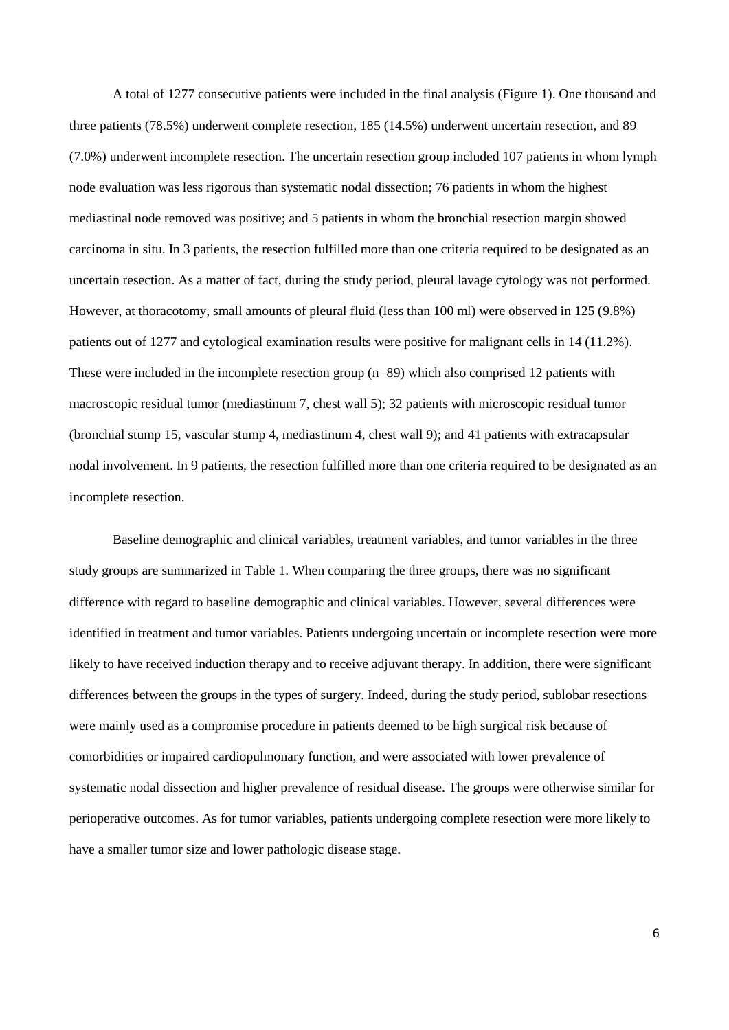A total of 1277 consecutive patients were included in the final analysis (Figure 1). One thousand and three patients (78.5%) underwent complete resection, 185 (14.5%) underwent uncertain resection, and 89 (7.0%) underwent incomplete resection. The uncertain resection group included 107 patients in whom lymph node evaluation was less rigorous than systematic nodal dissection; 76 patients in whom the highest mediastinal node removed was positive; and 5 patients in whom the bronchial resection margin showed carcinoma in situ. In 3 patients, the resection fulfilled more than one criteria required to be designated as an uncertain resection. As a matter of fact, during the study period, pleural lavage cytology was not performed. However, at thoracotomy, small amounts of pleural fluid (less than 100 ml) were observed in 125 (9.8%) patients out of 1277 and cytological examination results were positive for malignant cells in 14 (11.2%). These were included in the incomplete resection group (n=89) which also comprised 12 patients with macroscopic residual tumor (mediastinum 7, chest wall 5); 32 patients with microscopic residual tumor (bronchial stump 15, vascular stump 4, mediastinum 4, chest wall 9); and 41 patients with extracapsular nodal involvement. In 9 patients, the resection fulfilled more than one criteria required to be designated as an incomplete resection.

Baseline demographic and clinical variables, treatment variables, and tumor variables in the three study groups are summarized in Table 1. When comparing the three groups, there was no significant difference with regard to baseline demographic and clinical variables. However, several differences were identified in treatment and tumor variables. Patients undergoing uncertain or incomplete resection were more likely to have received induction therapy and to receive adjuvant therapy. In addition, there were significant differences between the groups in the types of surgery. Indeed, during the study period, sublobar resections were mainly used as a compromise procedure in patients deemed to be high surgical risk because of comorbidities or impaired cardiopulmonary function, and were associated with lower prevalence of systematic nodal dissection and higher prevalence of residual disease. The groups were otherwise similar for perioperative outcomes. As for tumor variables, patients undergoing complete resection were more likely to have a smaller tumor size and lower pathologic disease stage.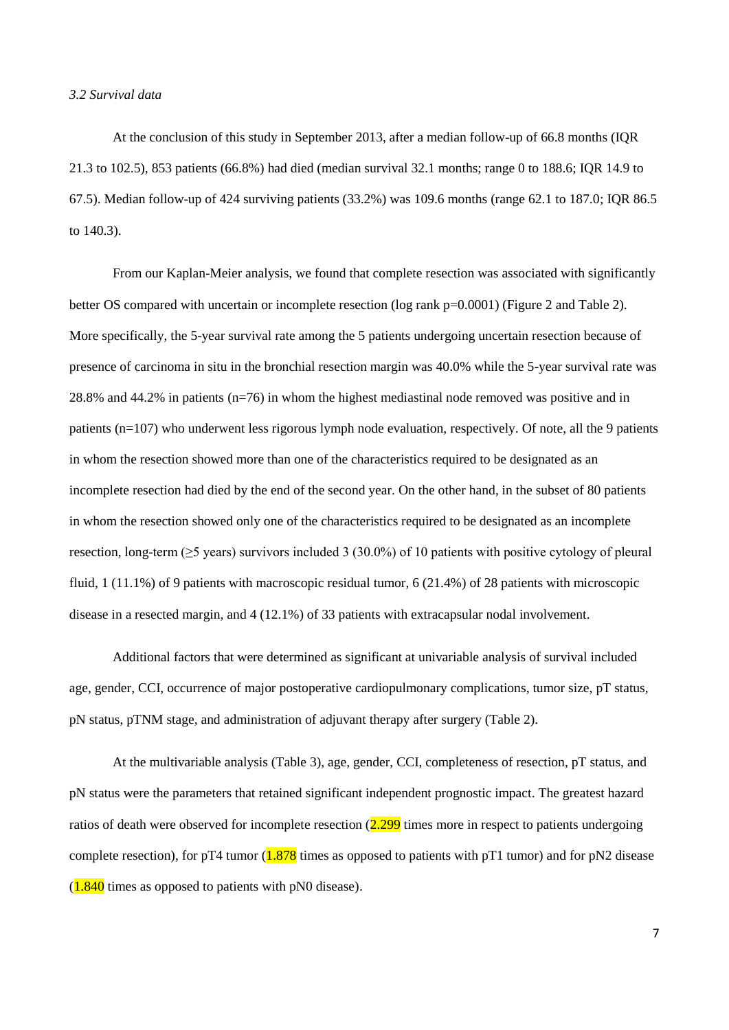## *3.2 Survival data*

At the conclusion of this study in September 2013, after a median follow-up of 66.8 months (IQR 21.3 to 102.5), 853 patients (66.8%) had died (median survival 32.1 months; range 0 to 188.6; IQR 14.9 to 67.5). Median follow-up of 424 surviving patients (33.2%) was 109.6 months (range 62.1 to 187.0; IQR 86.5 to 140.3).

From our Kaplan-Meier analysis, we found that complete resection was associated with significantly better OS compared with uncertain or incomplete resection (log rank p=0.0001) (Figure 2 and Table 2). More specifically, the 5-year survival rate among the 5 patients undergoing uncertain resection because of presence of carcinoma in situ in the bronchial resection margin was 40.0% while the 5-year survival rate was 28.8% and 44.2% in patients (n=76) in whom the highest mediastinal node removed was positive and in patients (n=107) who underwent less rigorous lymph node evaluation, respectively. Of note, all the 9 patients in whom the resection showed more than one of the characteristics required to be designated as an incomplete resection had died by the end of the second year. On the other hand, in the subset of 80 patients in whom the resection showed only one of the characteristics required to be designated as an incomplete resection, long-term ( $\geq$ 5 years) survivors included 3 (30.0%) of 10 patients with positive cytology of pleural fluid, 1 (11.1%) of 9 patients with macroscopic residual tumor, 6 (21.4%) of 28 patients with microscopic disease in a resected margin, and 4 (12.1%) of 33 patients with extracapsular nodal involvement.

Additional factors that were determined as significant at univariable analysis of survival included age, gender, CCI, occurrence of major postoperative cardiopulmonary complications, tumor size, pT status, pN status, pTNM stage, and administration of adjuvant therapy after surgery (Table 2).

At the multivariable analysis (Table 3), age, gender, CCI, completeness of resection, pT status, and pN status were the parameters that retained significant independent prognostic impact. The greatest hazard ratios of death were observed for incomplete resection  $(2.299)$  times more in respect to patients undergoing complete resection), for pT4 tumor  $(1.878)$  times as opposed to patients with pT1 tumor) and for pN2 disease  $(1.840)$  times as opposed to patients with pN0 disease).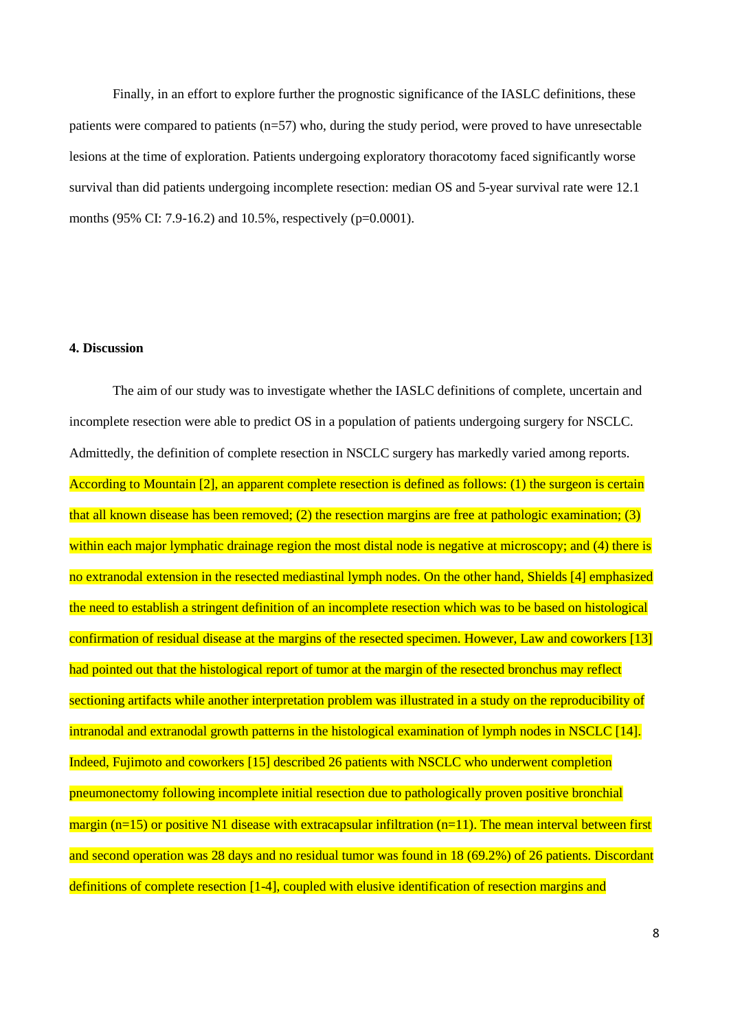Finally, in an effort to explore further the prognostic significance of the IASLC definitions, these patients were compared to patients (n=57) who, during the study period, were proved to have unresectable lesions at the time of exploration. Patients undergoing exploratory thoracotomy faced significantly worse survival than did patients undergoing incomplete resection: median OS and 5-year survival rate were 12.1 months (95% CI: 7.9-16.2) and 10.5%, respectively (p=0.0001).

## **4. Discussion**

The aim of our study was to investigate whether the IASLC definitions of complete, uncertain and incomplete resection were able to predict OS in a population of patients undergoing surgery for NSCLC. Admittedly, the definition of complete resection in NSCLC surgery has markedly varied among reports. According to Mountain [2], an apparent complete resection is defined as follows: (1) the surgeon is certain that all known disease has been removed; (2) the resection margins are free at pathologic examination; (3) within each major lymphatic drainage region the most distal node is negative at microscopy; and (4) there is no extranodal extension in the resected mediastinal lymph nodes. On the other hand, Shields [4] emphasized the need to establish a stringent definition of an incomplete resection which was to be based on histological confirmation of residual disease at the margins of the resected specimen. However, Law and coworkers [13] had pointed out that the histological report of tumor at the margin of the resected bronchus may reflect sectioning artifacts while another interpretation problem was illustrated in a study on the reproducibility of intranodal and extranodal growth patterns in the histological examination of lymph nodes in NSCLC [14]. Indeed, Fujimoto and coworkers [15] described 26 patients with NSCLC who underwent completion pneumonectomy following incomplete initial resection due to pathologically proven positive bronchial margin ( $n=15$ ) or positive N1 disease with extracapsular infiltration ( $n=11$ ). The mean interval between first and second operation was 28 days and no residual tumor was found in 18 (69.2%) of 26 patients. Discordant definitions of complete resection [1-4], coupled with elusive identification of resection margins and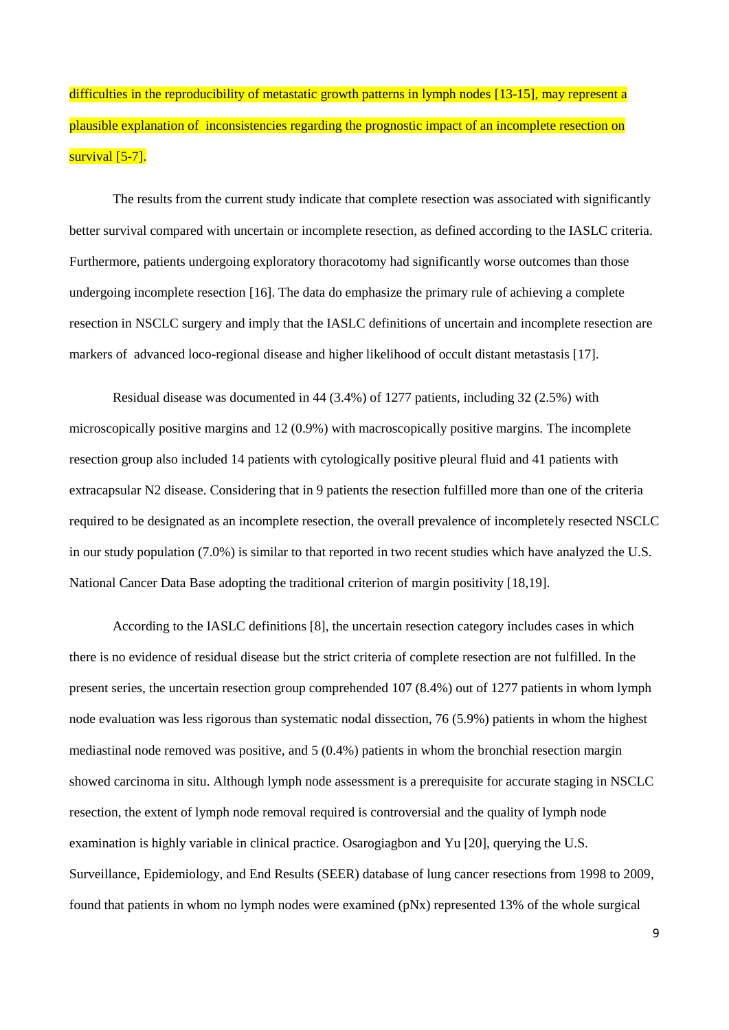difficulties in the reproducibility of metastatic growth patterns in lymph nodes [13-15], may represent a plausible explanation of inconsistencies regarding the prognostic impact of an incomplete resection on survival [5-7].

The results from the current study indicate that complete resection was associated with significantly better survival compared with uncertain or incomplete resection, as defined according to the IASLC criteria. Furthermore, patients undergoing exploratory thoracotomy had significantly worse outcomes than those undergoing incomplete resection [16]. The data do emphasize the primary rule of achieving a complete resection in NSCLC surgery and imply that the IASLC definitions of uncertain and incomplete resection are markers of advanced loco-regional disease and higher likelihood of occult distant metastasis [17].

Residual disease was documented in 44 (3.4%) of 1277 patients, including 32 (2.5%) with microscopically positive margins and 12 (0.9%) with macroscopically positive margins. The incomplete resection group also included 14 patients with cytologically positive pleural fluid and 41 patients with extracapsular N2 disease. Considering that in 9 patients the resection fulfilled more than one of the criteria required to be designated as an incomplete resection, the overall prevalence of incompletely resected NSCLC in our study population (7.0%) is similar to that reported in two recent studies which have analyzed the U.S. National Cancer Data Base adopting the traditional criterion of margin positivity [18,19].

According to the IASLC definitions [8], the uncertain resection category includes cases in which there is no evidence of residual disease but the strict criteria of complete resection are not fulfilled. In the present series, the uncertain resection group comprehended 107 (8.4%) out of 1277 patients in whom lymph node evaluation was less rigorous than systematic nodal dissection, 76 (5.9%) patients in whom the highest mediastinal node removed was positive, and 5 (0.4%) patients in whom the bronchial resection margin showed carcinoma in situ. Although lymph node assessment is a prerequisite for accurate staging in NSCLC resection, the extent of lymph node removal required is controversial and the quality of lymph node examination is highly variable in clinical practice. Osarogiagbon and Yu [20], querying the U.S. Surveillance, Epidemiology, and End Results (SEER) database of lung cancer resections from 1998 to 2009, found that patients in whom no lymph nodes were examined (pNx) represented 13% of the whole surgical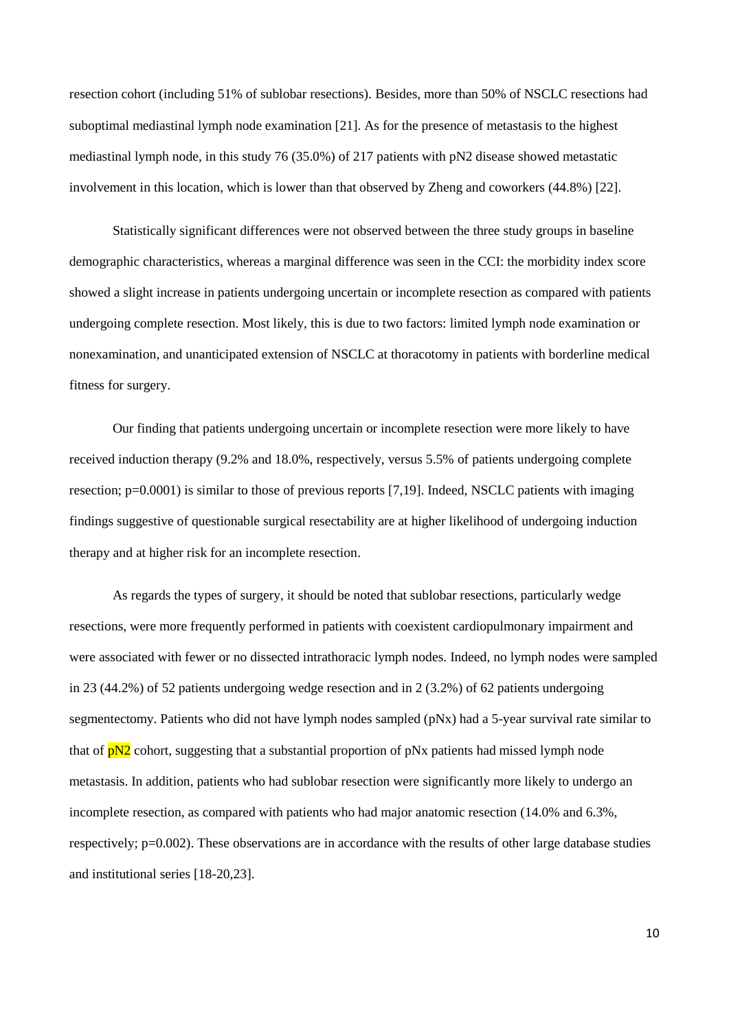resection cohort (including 51% of sublobar resections). Besides, more than 50% of NSCLC resections had suboptimal mediastinal lymph node examination [21]. As for the presence of metastasis to the highest mediastinal lymph node, in this study 76 (35.0%) of 217 patients with pN2 disease showed metastatic involvement in this location, which is lower than that observed by Zheng and coworkers (44.8%) [22].

Statistically significant differences were not observed between the three study groups in baseline demographic characteristics, whereas a marginal difference was seen in the CCI: the morbidity index score showed a slight increase in patients undergoing uncertain or incomplete resection as compared with patients undergoing complete resection. Most likely, this is due to two factors: limited lymph node examination or nonexamination, and unanticipated extension of NSCLC at thoracotomy in patients with borderline medical fitness for surgery.

Our finding that patients undergoing uncertain or incomplete resection were more likely to have received induction therapy (9.2% and 18.0%, respectively, versus 5.5% of patients undergoing complete resection; p=0.0001) is similar to those of previous reports [7,19]. Indeed, NSCLC patients with imaging findings suggestive of questionable surgical resectability are at higher likelihood of undergoing induction therapy and at higher risk for an incomplete resection.

As regards the types of surgery, it should be noted that sublobar resections, particularly wedge resections, were more frequently performed in patients with coexistent cardiopulmonary impairment and were associated with fewer or no dissected intrathoracic lymph nodes. Indeed, no lymph nodes were sampled in 23 (44.2%) of 52 patients undergoing wedge resection and in 2 (3.2%) of 62 patients undergoing segmentectomy. Patients who did not have lymph nodes sampled (pNx) had a 5-year survival rate similar to that of  $pN2$  cohort, suggesting that a substantial proportion of  $pNx$  patients had missed lymph node metastasis. In addition, patients who had sublobar resection were significantly more likely to undergo an incomplete resection, as compared with patients who had major anatomic resection (14.0% and 6.3%, respectively; p=0.002). These observations are in accordance with the results of other large database studies and institutional series [18-20,23].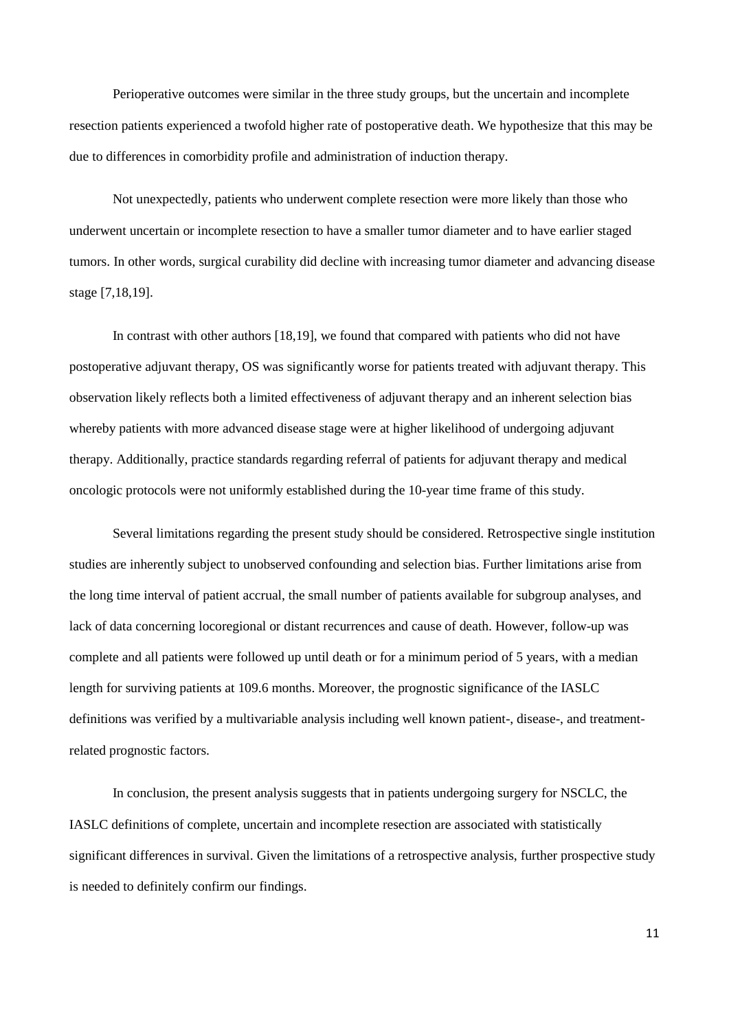Perioperative outcomes were similar in the three study groups, but the uncertain and incomplete resection patients experienced a twofold higher rate of postoperative death. We hypothesize that this may be due to differences in comorbidity profile and administration of induction therapy.

Not unexpectedly, patients who underwent complete resection were more likely than those who underwent uncertain or incomplete resection to have a smaller tumor diameter and to have earlier staged tumors. In other words, surgical curability did decline with increasing tumor diameter and advancing disease stage [7,18,19].

In contrast with other authors [18,19], we found that compared with patients who did not have postoperative adjuvant therapy, OS was significantly worse for patients treated with adjuvant therapy. This observation likely reflects both a limited effectiveness of adjuvant therapy and an inherent selection bias whereby patients with more advanced disease stage were at higher likelihood of undergoing adjuvant therapy. Additionally, practice standards regarding referral of patients for adjuvant therapy and medical oncologic protocols were not uniformly established during the 10-year time frame of this study.

Several limitations regarding the present study should be considered. Retrospective single institution studies are inherently subject to unobserved confounding and selection bias. Further limitations arise from the long time interval of patient accrual, the small number of patients available for subgroup analyses, and lack of data concerning locoregional or distant recurrences and cause of death. However, follow-up was complete and all patients were followed up until death or for a minimum period of 5 years, with a median length for surviving patients at 109.6 months. Moreover, the prognostic significance of the IASLC definitions was verified by a multivariable analysis including well known patient-, disease-, and treatmentrelated prognostic factors.

In conclusion, the present analysis suggests that in patients undergoing surgery for NSCLC, the IASLC definitions of complete, uncertain and incomplete resection are associated with statistically significant differences in survival. Given the limitations of a retrospective analysis, further prospective study is needed to definitely confirm our findings.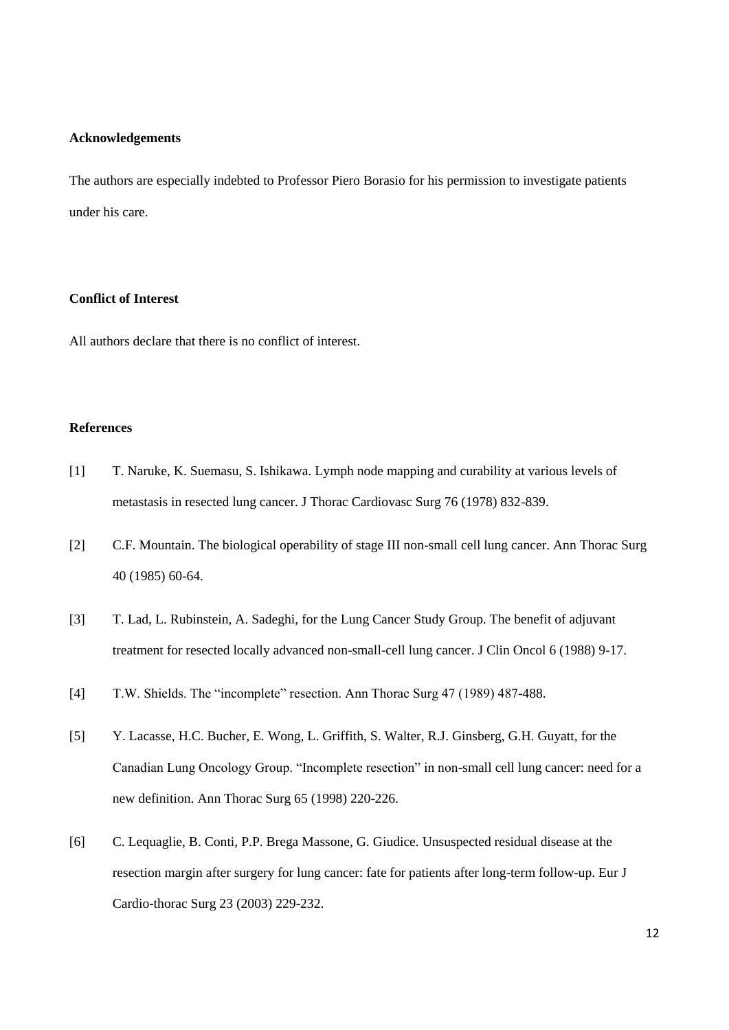#### **Acknowledgements**

The authors are especially indebted to Professor Piero Borasio for his permission to investigate patients under his care.

## **Conflict of Interest**

All authors declare that there is no conflict of interest.

# **References**

- [1] T. Naruke, K. Suemasu, S. Ishikawa. Lymph node mapping and curability at various levels of metastasis in resected lung cancer. J Thorac Cardiovasc Surg 76 (1978) 832-839.
- [2] C.F. Mountain. The biological operability of stage III non-small cell lung cancer. Ann Thorac Surg 40 (1985) 60-64.
- [3] T. Lad, L. Rubinstein, A. Sadeghi, for the Lung Cancer Study Group. The benefit of adjuvant treatment for resected locally advanced non-small-cell lung cancer. J Clin Oncol 6 (1988) 9-17.
- [4] T.W. Shields. The "incomplete" resection. Ann Thorac Surg 47 (1989) 487-488.
- [5] Y. Lacasse, H.C. Bucher, E. Wong, L. Griffith, S. Walter, R.J. Ginsberg, G.H. Guyatt, for the Canadian Lung Oncology Group. "Incomplete resection" in non-small cell lung cancer: need for a new definition. Ann Thorac Surg 65 (1998) 220-226.
- [6] C. Lequaglie, B. Conti, P.P. Brega Massone, G. Giudice. Unsuspected residual disease at the resection margin after surgery for lung cancer: fate for patients after long-term follow-up. Eur J Cardio-thorac Surg 23 (2003) 229-232.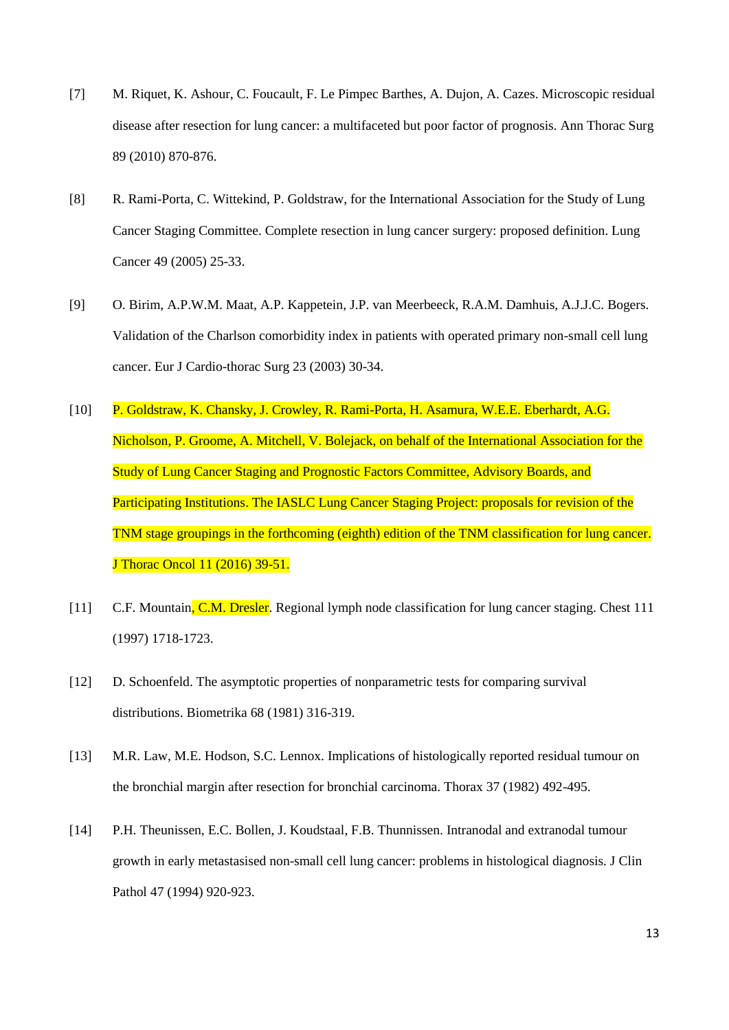- [7] M. Riquet, K. Ashour, C. Foucault, F. Le Pimpec Barthes, A. Dujon, A. Cazes. Microscopic residual disease after resection for lung cancer: a multifaceted but poor factor of prognosis. Ann Thorac Surg 89 (2010) 870-876.
- [8] R. Rami-Porta, C. Wittekind, P. Goldstraw, for the International Association for the Study of Lung Cancer Staging Committee. Complete resection in lung cancer surgery: proposed definition. Lung Cancer 49 (2005) 25-33.
- [9] O. Birim, A.P.W.M. Maat, A.P. Kappetein, J.P. van Meerbeeck, R.A.M. Damhuis, A.J.J.C. Bogers. Validation of the Charlson comorbidity index in patients with operated primary non-small cell lung cancer. Eur J Cardio-thorac Surg 23 (2003) 30-34.
- [10] P. Goldstraw, K. Chansky, J. Crowley, R. Rami-Porta, H. Asamura, W.E.E. Eberhardt, A.G. Nicholson, P. Groome, A. Mitchell, V. Bolejack, on behalf of the International Association for the Study of Lung Cancer Staging and Prognostic Factors Committee, Advisory Boards, and Participating Institutions. The IASLC Lung Cancer Staging Project: proposals for revision of the TNM stage groupings in the forthcoming (eighth) edition of the TNM classification for lung cancer. J Thorac Oncol 11 (2016) 39-51.
- [11] C.F. Mountain, C.M. Dresler. Regional lymph node classification for lung cancer staging. Chest 111 (1997) 1718-1723.
- [12] D. Schoenfeld. The asymptotic properties of nonparametric tests for comparing survival distributions. Biometrika 68 (1981) 316-319.
- [13] M.R. Law, M.E. Hodson, S.C. Lennox. Implications of histologically reported residual tumour on the bronchial margin after resection for bronchial carcinoma. Thorax 37 (1982) 492-495.
- [14] P.H. Theunissen, E.C. Bollen, J. Koudstaal, F.B. Thunnissen. Intranodal and extranodal tumour growth in early metastasised non-small cell lung cancer: problems in histological diagnosis. J Clin Pathol 47 (1994) 920-923.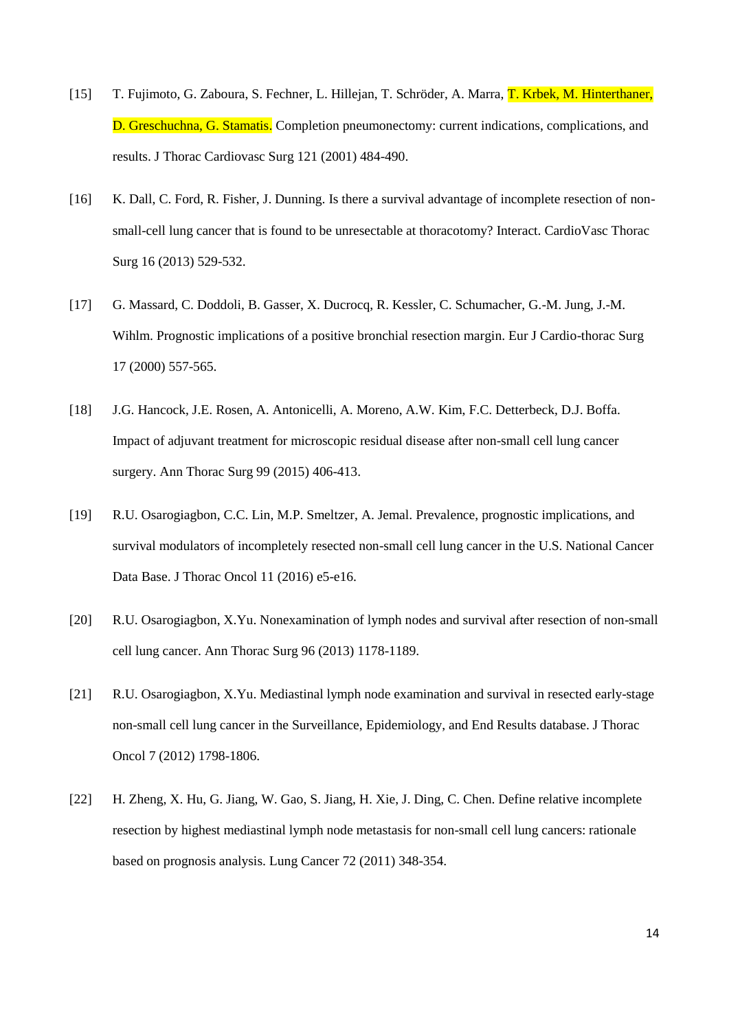- [15] T. Fujimoto, G. Zaboura, S. Fechner, L. Hillejan, T. Schröder, A. Marra, T. Krbek, M. Hinterthaner, D. Greschuchna, G. Stamatis. Completion pneumonectomy: current indications, complications, and results. J Thorac Cardiovasc Surg 121 (2001) 484-490.
- [16] K. Dall, C. Ford, R. Fisher, J. Dunning. Is there a survival advantage of incomplete resection of nonsmall-cell lung cancer that is found to be unresectable at thoracotomy? Interact. CardioVasc Thorac Surg 16 (2013) 529-532.
- [17] G. Massard, C. Doddoli, B. Gasser, X. Ducrocq, R. Kessler, C. Schumacher, G.-M. Jung, J.-M. Wihlm. Prognostic implications of a positive bronchial resection margin. Eur J Cardio-thorac Surg 17 (2000) 557-565.
- [18] J.G. Hancock, J.E. Rosen, A. Antonicelli, A. Moreno, A.W. Kim, F.C. Detterbeck, D.J. Boffa. Impact of adjuvant treatment for microscopic residual disease after non-small cell lung cancer surgery. Ann Thorac Surg 99 (2015) 406-413.
- [19] R.U. Osarogiagbon, C.C. Lin, M.P. Smeltzer, A. Jemal. Prevalence, prognostic implications, and survival modulators of incompletely resected non-small cell lung cancer in the U.S. National Cancer Data Base. J Thorac Oncol 11 (2016) e5-e16.
- [20] R.U. Osarogiagbon, X.Yu. Nonexamination of lymph nodes and survival after resection of non-small cell lung cancer. Ann Thorac Surg 96 (2013) 1178-1189.
- [21] R.U. Osarogiagbon, X.Yu. Mediastinal lymph node examination and survival in resected early-stage non-small cell lung cancer in the Surveillance, Epidemiology, and End Results database. J Thorac Oncol 7 (2012) 1798-1806.
- [22] H. Zheng, X. Hu, G. Jiang, W. Gao, S. Jiang, H. Xie, J. Ding, C. Chen. Define relative incomplete resection by highest mediastinal lymph node metastasis for non-small cell lung cancers: rationale based on prognosis analysis. Lung Cancer 72 (2011) 348-354.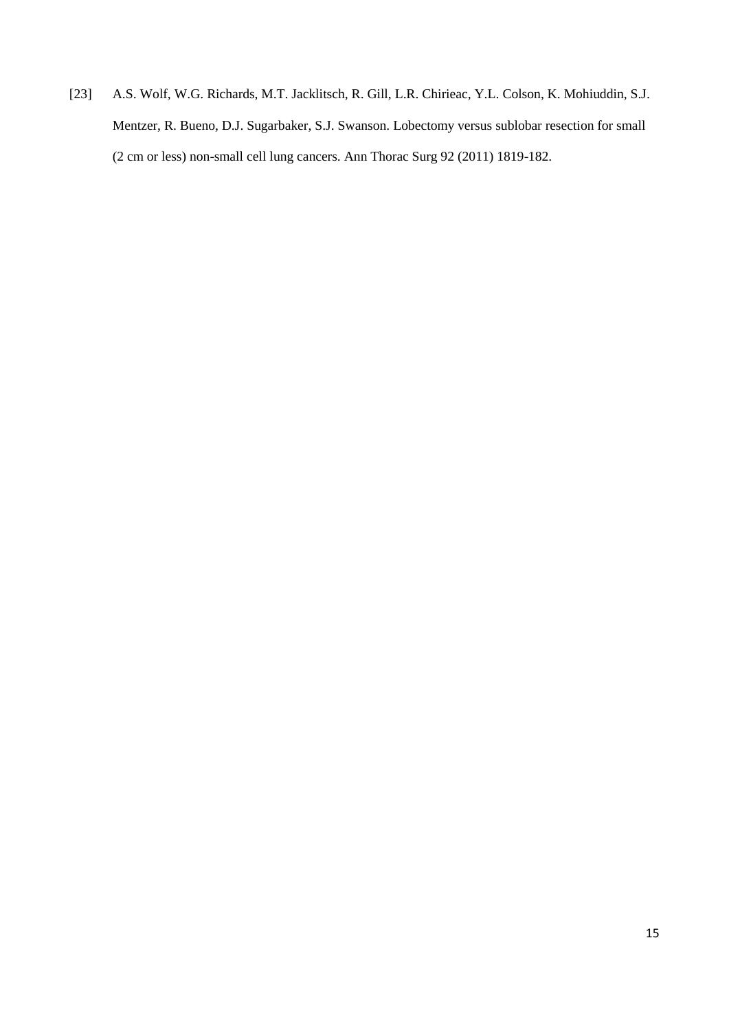[23] A.S. Wolf, W.G. Richards, M.T. Jacklitsch, R. Gill, L.R. Chirieac, Y.L. Colson, K. Mohiuddin, S.J. Mentzer, R. Bueno, D.J. Sugarbaker, S.J. Swanson. Lobectomy versus sublobar resection for small (2 cm or less) non-small cell lung cancers. Ann Thorac Surg 92 (2011) 1819-182.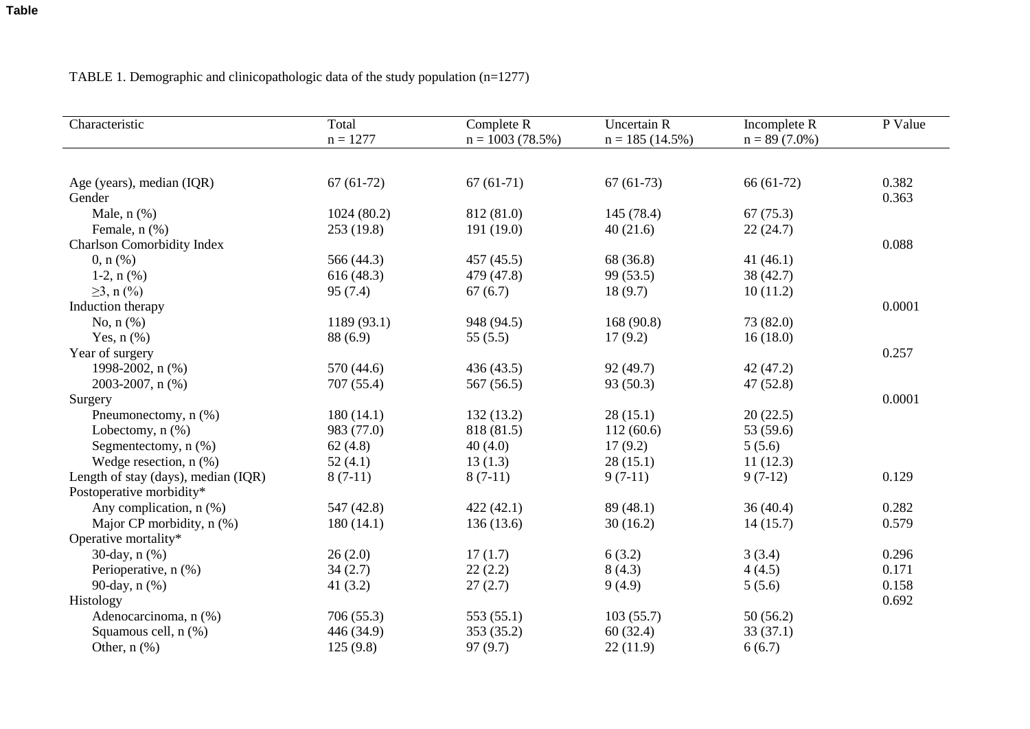# TABLE 1. Demographic and clinicopathologic data of the study population (n=1277)

| Characteristic                      | Total       | Complete R        | <b>Uncertain R</b> | Incomplete R    | P Value |
|-------------------------------------|-------------|-------------------|--------------------|-----------------|---------|
|                                     | $n = 1277$  | $n = 1003(78.5%)$ | $n = 185(14.5\%)$  | $n = 89(7.0\%)$ |         |
|                                     |             |                   |                    |                 |         |
| Age (years), median (IQR)           | $67(61-72)$ | $67(61-71)$       | $67(61-73)$        | $66(61-72)$     | 0.382   |
| Gender                              |             |                   |                    |                 | 0.363   |
| Male, $n$ $%$                       | 1024(80.2)  | 812 (81.0)        | 145(78.4)          | 67(75.3)        |         |
| Female, n (%)                       | 253 (19.8)  | 191 (19.0)        | 40(21.6)           | 22(24.7)        |         |
| Charlson Comorbidity Index          |             |                   |                    |                 | 0.088   |
| $0, n$ (%)                          | 566 (44.3)  | 457 (45.5)        | 68 (36.8)          | 41(46.1)        |         |
| 1-2, $n$ (%)                        | 616(48.3)   | 479 (47.8)        | 99 (53.5)          | 38(42.7)        |         |
| $\geq$ 3, n $(\frac{9}{0})$         | 95(7.4)     | 67(6.7)           | 18(9.7)            | 10(11.2)        |         |
| Induction therapy                   |             |                   |                    |                 | 0.0001  |
| No, $n$ $(\%)$                      | 1189 (93.1) | 948 (94.5)        | 168 (90.8)         | 73 (82.0)       |         |
| Yes, $n$ $(\%)$                     | 88 (6.9)    | 55(5.5)           | 17(9.2)            | 16(18.0)        |         |
| Year of surgery                     |             |                   |                    |                 | 0.257   |
| 1998-2002, n (%)                    | 570 (44.6)  | 436(43.5)         | 92(49.7)           | 42(47.2)        |         |
| 2003-2007, n (%)                    | 707 (55.4)  | 567 (56.5)        | 93(50.3)           | 47(52.8)        |         |
| Surgery                             |             |                   |                    |                 | 0.0001  |
| Pneumonectomy, n (%)                | 180(14.1)   | 132(13.2)         | 28(15.1)           | 20(22.5)        |         |
| Lobectomy, $n$ $(\%)$               | 983 (77.0)  | 818 (81.5)        | 112(60.6)          | 53 (59.6)       |         |
| Segmentectomy, n (%)                | 62(4.8)     | 40(4.0)           | 17(9.2)            | 5(5.6)          |         |
| Wedge resection, $n$ $(\%)$         | 52(4.1)     | 13(1.3)           | 28(15.1)           | 11(12.3)        |         |
| Length of stay (days), median (IQR) | $8(7-11)$   | $8(7-11)$         | $9(7-11)$          | $9(7-12)$       | 0.129   |
| Postoperative morbidity*            |             |                   |                    |                 |         |
| Any complication, n (%)             | 547 (42.8)  | 422(42.1)         | 89(48.1)           | 36(40.4)        | 0.282   |
| Major CP morbidity, n (%)           | 180(14.1)   | 136 (13.6)        | 30(16.2)           | 14(15.7)        | 0.579   |
| Operative mortality*                |             |                   |                    |                 |         |
| 30-day, n (%)                       | 26(2.0)     | 17(1.7)           | 6(3.2)             | 3(3.4)          | 0.296   |
| Perioperative, n (%)                | 34(2.7)     | 22(2.2)           | 8(4.3)             | 4(4.5)          | 0.171   |
| 90-day, n (%)                       | 41(3.2)     | 27(2.7)           | 9(4.9)             | 5(5.6)          | 0.158   |
| Histology                           |             |                   |                    |                 | 0.692   |
| Adenocarcinoma, n (%)               | 706 (55.3)  | 553 (55.1)        | 103(55.7)          | 50(56.2)        |         |
| Squamous cell, n (%)                | 446 (34.9)  | 353 (35.2)        | 60(32.4)           | 33(37.1)        |         |
| Other, $n$ $(\%)$                   | 125(9.8)    | 97(9.7)           | 22(11.9)           | 6(6.7)          |         |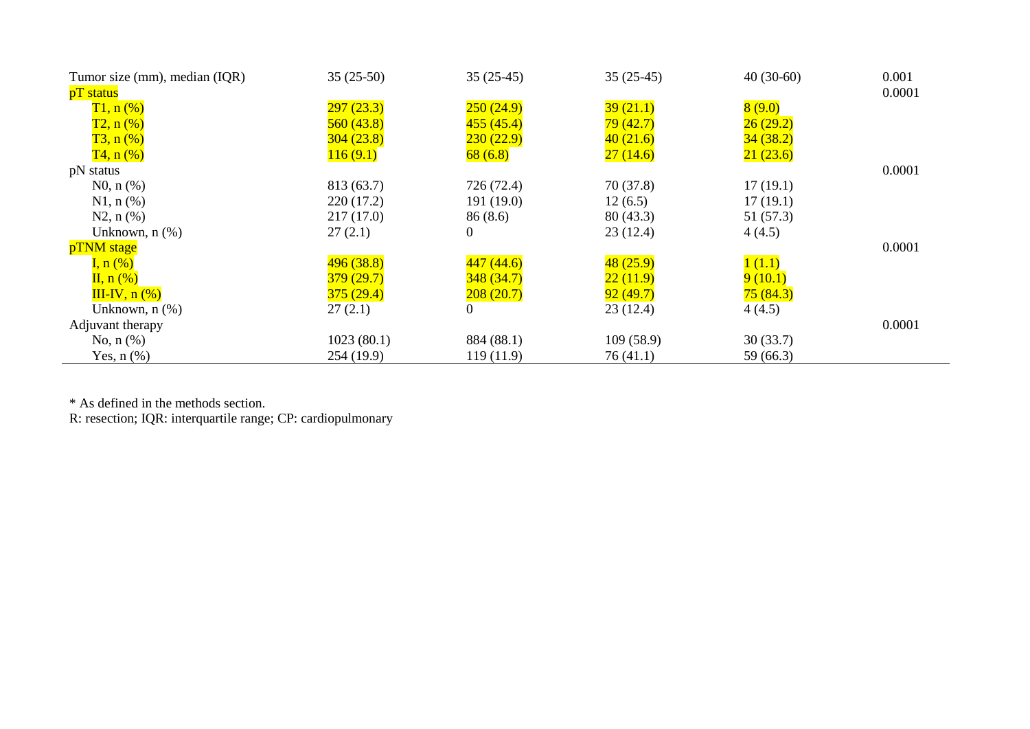| Tumor size (mm), median (IQR) | $35(25-50)$ | $35(25-45)$    | $35(25-45)$ | $40(30-60)$ | 0.001  |
|-------------------------------|-------------|----------------|-------------|-------------|--------|
| pT status                     |             |                |             |             | 0.0001 |
| $T1, n$ (%)                   | 297(23.3)   | 250(24.9)      | 39(21.1)    | 8(9.0)      |        |
| $T2, n$ (%)                   | 560(43.8)   | 455(45.4)      | 79(42.7)    | 26(29.2)    |        |
| $T3, n(\%)$                   | 304(23.8)   | 230(22.9)      | 40(21.6)    | 34(38.2)    |        |
| $T4, n$ (%)                   | 116(9.1)    | 68(6.8)        | 27(14.6)    | 21(23.6)    |        |
| pN status                     |             |                |             |             | 0.0001 |
| $N0, n$ (%)                   | 813 (63.7)  | 726 (72.4)     | 70(37.8)    | 17(19.1)    |        |
| $N1, n$ (%)                   | 220(17.2)   | 191(19.0)      | 12(6.5)     | 17(19.1)    |        |
| $N2, n(\%)$                   | 217(17.0)   | 86(8.6)        | 80(43.3)    | 51 (57.3)   |        |
| Unknown, $n$ $(\%)$           | 27(2.1)     | $\overline{0}$ | 23(12.4)    | 4(4.5)      |        |
| pTNM stage                    |             |                |             |             | 0.0001 |
| I, $n\left(\%\right)$         | 496(38.8)   | 447(44.6)      | 48(25.9)    | 1(1.1)      |        |
| $\Pi$ , n $(\%)$              | 379(29.7)   | 348(34.7)      | 22(11.9)    | 9(10.1)     |        |
| $III-IV, n(%)$                | 375(29.4)   | 208(20.7)      | 92(49.7)    | 75(84.3)    |        |
| Unknown, $n$ $(\%)$           | 27(2.1)     | 0              | 23(12.4)    | 4(4.5)      |        |
| Adjuvant therapy              |             |                |             |             | 0.0001 |
| No, $n$ $(\%)$                | 1023(80.1)  | 884 (88.1)     | 109(58.9)   | 30(33.7)    |        |
| Yes, $n$ $(\%)$               | 254 (19.9)  | 119(11.9)      | 76 (41.1)   | 59 (66.3)   |        |

\* As defined in the methods section.

R: resection; IQR: interquartile range; CP: cardiopulmonary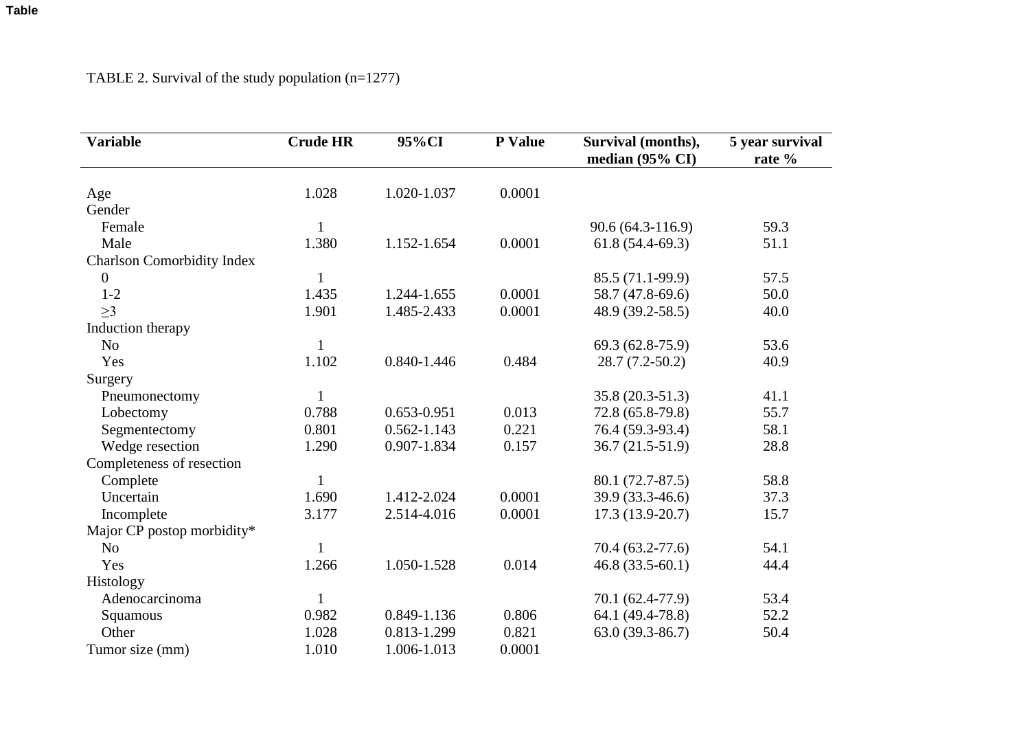| <b>Variable</b>                   | <b>Crude HR</b> | 95%CI           | P Value | Survival (months),<br>median $(95\% \text{ CI})$ | 5 year survival<br>rate % |
|-----------------------------------|-----------------|-----------------|---------|--------------------------------------------------|---------------------------|
|                                   |                 |                 |         |                                                  |                           |
| Age                               | 1.028           | 1.020-1.037     | 0.0001  |                                                  |                           |
| Gender                            |                 |                 |         |                                                  |                           |
| Female                            | $\mathbf{1}$    |                 |         | $90.6(64.3-116.9)$                               | 59.3                      |
| Male                              | 1.380           | 1.152-1.654     | 0.0001  | $61.8(54.4-69.3)$                                | 51.1                      |
| <b>Charlson Comorbidity Index</b> |                 |                 |         |                                                  |                           |
| $\boldsymbol{0}$                  | $\mathbf{1}$    |                 |         | 85.5 (71.1-99.9)                                 | 57.5                      |
| $1 - 2$                           | 1.435           | 1.244-1.655     | 0.0001  | 58.7 (47.8-69.6)                                 | 50.0                      |
| $\geq$ 3                          | 1.901           | 1.485-2.433     | 0.0001  | 48.9 (39.2-58.5)                                 | 40.0                      |
| Induction therapy                 |                 |                 |         |                                                  |                           |
| N <sub>o</sub>                    | $\mathbf{1}$    |                 |         | 69.3 (62.8-75.9)                                 | 53.6                      |
| Yes                               | 1.102           | 0.840-1.446     | 0.484   | $28.7(7.2-50.2)$                                 | 40.9                      |
| Surgery                           |                 |                 |         |                                                  |                           |
| Pneumonectomy                     | $\mathbf{1}$    |                 |         | 35.8 (20.3-51.3)                                 | 41.1                      |
| Lobectomy                         | 0.788           | 0.653-0.951     | 0.013   | 72.8 (65.8-79.8)                                 | 55.7                      |
| Segmentectomy                     | 0.801           | $0.562 - 1.143$ | 0.221   | 76.4 (59.3-93.4)                                 | 58.1                      |
| Wedge resection                   | 1.290           | 0.907-1.834     | 0.157   | $36.7(21.5-51.9)$                                | 28.8                      |
| Completeness of resection         |                 |                 |         |                                                  |                           |
| Complete                          | $\mathbf{1}$    |                 |         | 80.1 (72.7-87.5)                                 | 58.8                      |
| Uncertain                         | 1.690           | 1.412-2.024     | 0.0001  | 39.9 (33.3-46.6)                                 | 37.3                      |
| Incomplete                        | 3.177           | 2.514-4.016     | 0.0001  | $17.3(13.9-20.7)$                                | 15.7                      |
| Major CP postop morbidity*        |                 |                 |         |                                                  |                           |
| N <sub>o</sub>                    |                 |                 |         | 70.4 (63.2-77.6)                                 | 54.1                      |
| Yes                               | 1.266           | 1.050-1.528     | 0.014   | $46.8(33.5-60.1)$                                | 44.4                      |
| Histology                         |                 |                 |         |                                                  |                           |
| Adenocarcinoma                    | $\mathbf{1}$    |                 |         | 70.1 (62.4-77.9)                                 | 53.4                      |
| Squamous                          | 0.982           | 0.849-1.136     | 0.806   | 64.1 (49.4-78.8)                                 | 52.2                      |
| Other                             | 1.028           | 0.813-1.299     | 0.821   | $63.0(39.3-86.7)$                                | 50.4                      |
| Tumor size (mm)                   | 1.010           | 1.006-1.013     | 0.0001  |                                                  |                           |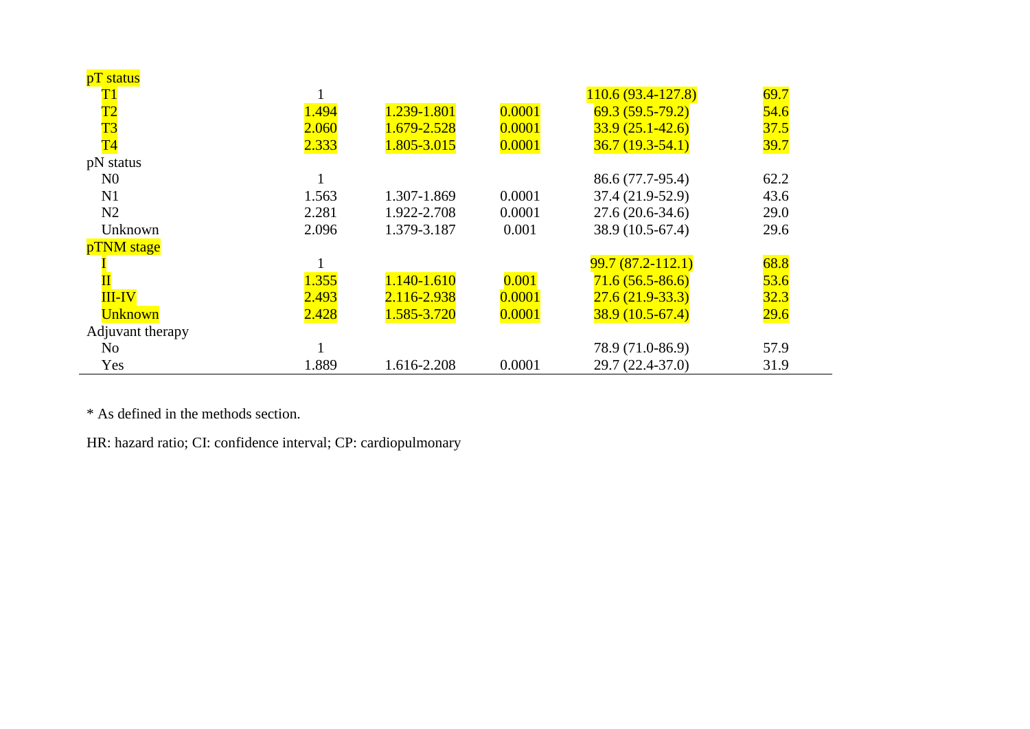| pT status                |       |             |        |                     |      |
|--------------------------|-------|-------------|--------|---------------------|------|
| $\overline{\mathrm{T1}}$ |       |             |        | $110.6(93.4-127.8)$ | 69.7 |
| $\overline{\mathrm{T2}}$ | 1.494 | 1.239-1.801 | 0.0001 | $69.3(59.5-79.2)$   | 54.6 |
| $\overline{\text{T3}}$   | 2.060 | 1.679-2.528 | 0.0001 | $33.9(25.1 - 42.6)$ | 37.5 |
| $\overline{T4}$          | 2.333 | 1.805-3.015 | 0.0001 | $36.7(19.3-54.1)$   | 39.7 |
| pN status                |       |             |        |                     |      |
| N <sub>0</sub>           |       |             |        | 86.6 (77.7-95.4)    | 62.2 |
| N1                       | 1.563 | 1.307-1.869 | 0.0001 | 37.4 (21.9-52.9)    | 43.6 |
| N2                       | 2.281 | 1.922-2.708 | 0.0001 | $27.6(20.6-34.6)$   | 29.0 |
| Unknown                  | 2.096 | 1.379-3.187 | 0.001  | 38.9 (10.5-67.4)    | 29.6 |
| pTNM stage               |       |             |        |                     |      |
|                          |       |             |        | $99.7(87.2-112.1)$  | 68.8 |
|                          | 1.355 | 1.140-1.610 | 0.001  | $71.6(56.5-86.6)$   | 53.6 |
| <b>III-IV</b>            | 2.493 | 2.116-2.938 | 0.0001 | $27.6(21.9-33.3)$   | 32.3 |
| <b>Unknown</b>           | 2.428 | 1.585-3.720 | 0.0001 | $38.9(10.5-67.4)$   | 29.6 |
| Adjuvant therapy         |       |             |        |                     |      |
| N <sub>0</sub>           |       |             |        | 78.9 (71.0-86.9)    | 57.9 |
| Yes                      | 1.889 | 1.616-2.208 | 0.0001 | $29.7(22.4-37.0)$   | 31.9 |

\* As defined in the methods section.

HR: hazard ratio; CI: confidence interval; CP: cardiopulmonary